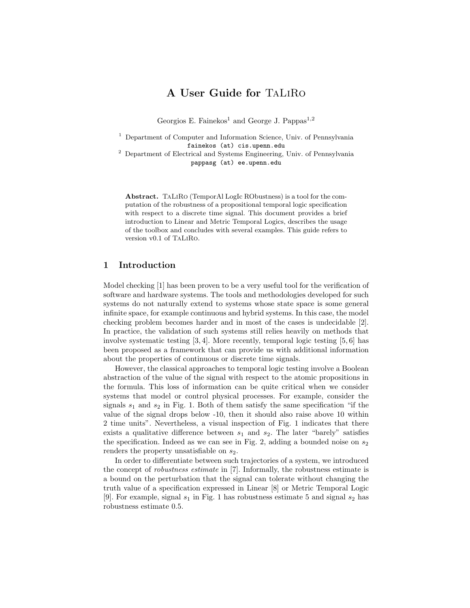# A User Guide for TaLiRo

Georgios E. Fainekos<sup>1</sup> and George J. Pappas<sup>1,2</sup>

<sup>1</sup> Department of Computer and Information Science, Univ. of Pennsylvania fainekos (at) cis.upenn.edu

<sup>2</sup> Department of Electrical and Systems Engineering, Univ. of Pennsylvania pappasg (at) ee.upenn.edu

Abstract. TaLiRo (TemporAl LogIc RObustness) is a tool for the computation of the robustness of a propositional temporal logic specification with respect to a discrete time signal. This document provides a brief introduction to Linear and Metric Temporal Logics, describes the usage of the toolbox and concludes with several examples. This guide refers to version v0.1 of TaLiRo.

## 1 Introduction

Model checking [1] has been proven to be a very useful tool for the verification of software and hardware systems. The tools and methodologies developed for such systems do not naturally extend to systems whose state space is some general infinite space, for example continuous and hybrid systems. In this case, the model checking problem becomes harder and in most of the cases is undecidable [2]. In practice, the validation of such systems still relies heavily on methods that involve systematic testing [3, 4]. More recently, temporal logic testing [5, 6] has been proposed as a framework that can provide us with additional information about the properties of continuous or discrete time signals.

However, the classical approaches to temporal logic testing involve a Boolean abstraction of the value of the signal with respect to the atomic propositions in the formula. This loss of information can be quite critical when we consider systems that model or control physical processes. For example, consider the signals  $s_1$  and  $s_2$  in Fig. 1. Both of them satisfy the same specification "if the value of the signal drops below -10, then it should also raise above 10 within 2 time units". Nevertheless, a visual inspection of Fig. 1 indicates that there exists a qualitative difference between  $s_1$  and  $s_2$ . The later "barely" satisfies the specification. Indeed as we can see in Fig. 2, adding a bounded noise on  $s_2$ renders the property unsatisfiable on  $s_2$ .

In order to differentiate between such trajectories of a system, we introduced the concept of robustness estimate in [7]. Informally, the robustness estimate is a bound on the perturbation that the signal can tolerate without changing the truth value of a specification expressed in Linear [8] or Metric Temporal Logic [9]. For example, signal  $s_1$  in Fig. 1 has robustness estimate 5 and signal  $s_2$  has robustness estimate 0.5.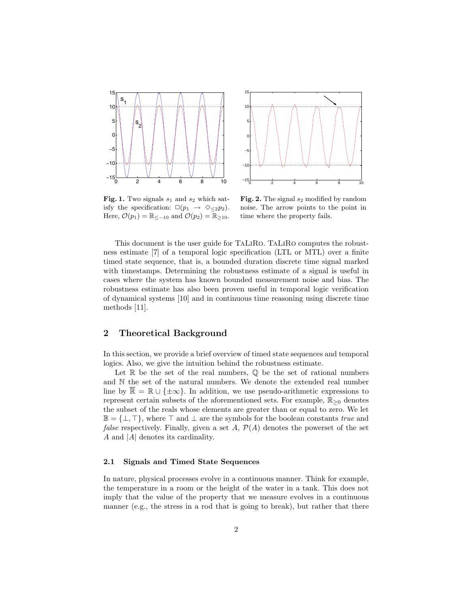



Fig. 1. Two signals  $s_1$  and  $s_2$  which satisfy the specification:  $\square(p_1 \rightarrow \diamondsuit_{\leq 2}p_2)$ . Here,  $\mathcal{O}(p_1) = \mathbb{R}_{\leq -10}$  and  $\mathcal{O}(p_2) = \mathbb{R}_{\geq 10}$ .

Fig. 2. The signal  $s_2$  modified by random noise. The arrow points to the point in time where the property fails.

This document is the user guide for TaLiRo. TaLiRo computes the robustness estimate [7] of a temporal logic specification (LTL or MTL) over a finite timed state sequence, that is, a bounded duration discrete time signal marked with timestamps. Determining the robustness estimate of a signal is useful in cases where the system has known bounded measurement noise and bias. The robustness estimate has also been proven useful in temporal logic verification of dynamical systems [10] and in continuous time reasoning using discrete time methods [11].

# 2 Theoretical Background

In this section, we provide a brief overview of timed state sequences and temporal logics. Also, we give the intuition behind the robustness estimate.

Let  $\mathbb R$  be the set of the real numbers,  $\mathbb Q$  be the set of rational numbers and N the set of the natural numbers. We denote the extended real number line by  $\mathbb{R} = \mathbb{R} \cup \{\pm \infty\}$ . In addition, we use pseudo-arithmetic expressions to represent certain subsets of the aforementioned sets. For example,  $\mathbb{R}_{\geq 0}$  denotes the subset of the reals whose elements are greater than or equal to zero. We let  $\mathbb{B} = {\{\perp, \top\}}$ , where  $\top$  and  $\bot$  are the symbols for the boolean constants true and *false* respectively. Finally, given a set A,  $\mathcal{P}(A)$  denotes the powerset of the set A and |A| denotes its cardinality.

### 2.1 Signals and Timed State Sequences

In nature, physical processes evolve in a continuous manner. Think for example, the temperature in a room or the height of the water in a tank. This does not imply that the value of the property that we measure evolves in a continuous manner (e.g., the stress in a rod that is going to break), but rather that there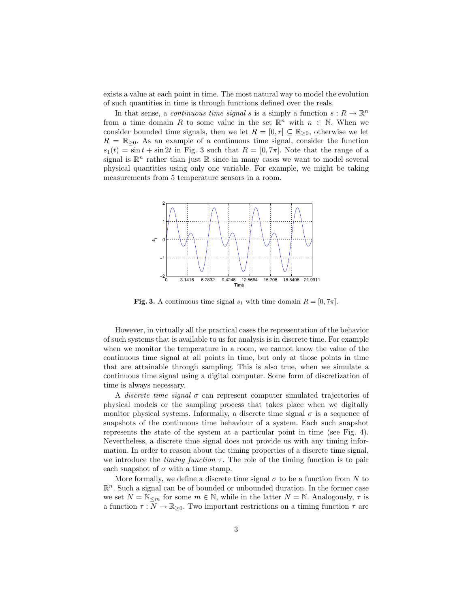exists a value at each point in time. The most natural way to model the evolution of such quantities in time is through functions defined over the reals.

In that sense, a *continuous time signal* s is a simply a function  $s: R \to \mathbb{R}^n$ from a time domain R to some value in the set  $\mathbb{R}^n$  with  $n \in \mathbb{N}$ . When we consider bounded time signals, then we let  $R = [0, r] \subseteq \mathbb{R}_{\geq 0}$ , otherwise we let  $R = \mathbb{R}_{\geq 0}$ . As an example of a continuous time signal, consider the function  $s_1(t) = \sin t + \sin 2t$  in Fig. 3 such that  $R = [0, 7\pi]$ . Note that the range of a signal is  $\mathbb{R}^n$  rather than just  $\mathbb R$  since in many cases we want to model several physical quantities using only one variable. For example, we might be taking measurements from 5 temperature sensors in a room.



Fig. 3. A continuous time signal  $s_1$  with time domain  $R = [0, 7\pi]$ .

However, in virtually all the practical cases the representation of the behavior of such systems that is available to us for analysis is in discrete time. For example when we monitor the temperature in a room, we cannot know the value of the continuous time signal at all points in time, but only at those points in time that are attainable through sampling. This is also true, when we simulate a continuous time signal using a digital computer. Some form of discretization of time is always necessary.

A discrete time signal  $\sigma$  can represent computer simulated trajectories of physical models or the sampling process that takes place when we digitally monitor physical systems. Informally, a discrete time signal  $\sigma$  is a sequence of snapshots of the continuous time behaviour of a system. Each such snapshot represents the state of the system at a particular point in time (see Fig. 4). Nevertheless, a discrete time signal does not provide us with any timing information. In order to reason about the timing properties of a discrete time signal, we introduce the *timing function*  $\tau$ . The role of the timing function is to pair each snapshot of  $\sigma$  with a time stamp.

More formally, we define a discrete time signal  $\sigma$  to be a function from N to  $\mathbb{R}^n$ . Such a signal can be of bounded or unbounded duration. In the former case we set  $N = N_{\leq m}$  for some  $m \in \mathbb{N}$ , while in the latter  $N = \mathbb{N}$ . Analogously,  $\tau$  is a function  $\tau : N \to \mathbb{R}_{\geq 0}$ . Two important restrictions on a timing function  $\tau$  are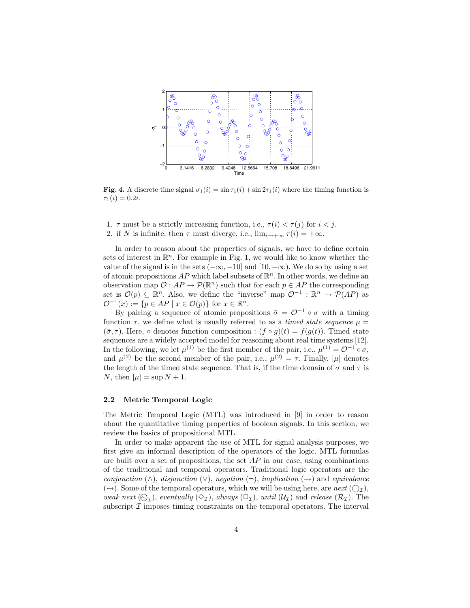

Fig. 4. A discrete time signal  $\sigma_1(i) = \sin \tau_1(i) + \sin 2\tau_1(i)$  where the timing function is  $\tau_1(i) = 0.2i.$ 

- 1.  $\tau$  must be a strictly increasing function, i.e.,  $\tau(i) < \tau(j)$  for  $i < j$ .
- 2. if N is infinite, then  $\tau$  must diverge, i.e.,  $\lim_{i\to+\infty}\tau(i)=+\infty$ .

In order to reason about the properties of signals, we have to define certain sets of interest in  $\mathbb{R}^n$ . For example in Fig. 1, we would like to know whether the value of the signal is in the sets  $(-\infty, -10]$  and  $[10, +\infty)$ . We do so by using a set of atomic propositions  $AP$  which label subsets of  $\mathbb{R}^n$ . In other words, we define an observation map  $\mathcal{O}: AP \to \mathcal{P}(\mathbb{R}^n)$  such that for each  $p \in AP$  the corresponding set is  $\mathcal{O}(p) \subseteq \mathbb{R}^n$ . Also, we define the "inverse" map  $\mathcal{O}^{-1} : \mathbb{R}^n \to \mathcal{P}(AP)$  as  $\mathcal{O}^{-1}(x) := \{p \in AP \mid x \in \mathcal{O}(p)\}\$ for  $x \in \mathbb{R}^n$ .

By pairing a sequence of atomic propositions  $\bar{\sigma} = \mathcal{O}^{-1} \circ \sigma$  with a timing function  $\tau$ , we define what is usually referred to as a *timed state sequence*  $\mu =$  $(\bar{\sigma}, \tau)$ . Here,  $\circ$  denotes function composition :  $(f \circ g)(t) = f(g(t))$ . Timed state sequences are a widely accepted model for reasoning about real time systems [12]. In the following, we let  $\mu^{(1)}$  be the first member of the pair, i.e.,  $\mu^{(1)} = \mathcal{O}^{-1} \circ \sigma$ , and  $\mu^{(2)}$  be the second member of the pair, i.e.,  $\mu^{(2)} = \tau$ . Finally,  $|\mu|$  denotes the length of the timed state sequence. That is, if the time domain of  $\sigma$  and  $\tau$  is N, then  $|\mu| = \sup N + 1$ .

### 2.2 Metric Temporal Logic

The Metric Temporal Logic (MTL) was introduced in [9] in order to reason about the quantitative timing properties of boolean signals. In this section, we review the basics of propositional MTL.

In order to make apparent the use of MTL for signal analysis purposes, we first give an informal description of the operators of the logic. MTL formulas are built over a set of propositions, the set  $AP$  in our case, using combinations of the traditional and temporal operators. Traditional logic operators are the conjunction (∧), disjunction (∨), negation (¬), implication (→) and equivalence  $(\leftrightarrow)$ . Some of the temporal operators, which we will be using here, are next  $(\bigcirc_{\mathcal{I}})$ , weak next  $(\bigcirc_{\mathcal{I}})$ , eventually  $(\Diamond_{\mathcal{I}})$ , always  $(\Box_{\mathcal{I}})$ , until  $(\mathcal{U}_{\mathcal{I}})$  and release  $(\mathcal{R}_{\mathcal{I}})$ . The subscript  $\mathcal I$  imposes timing constraints on the temporal operators. The interval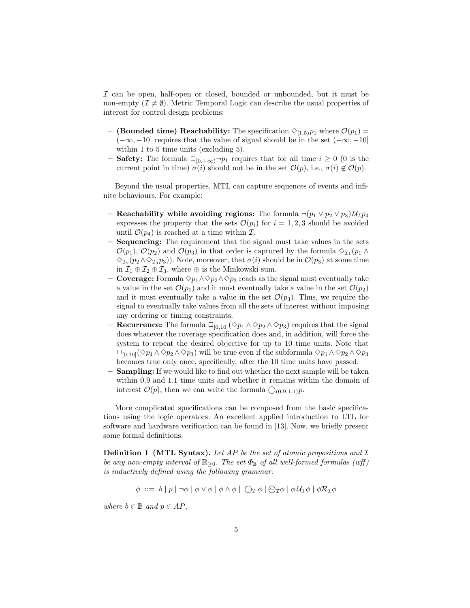I can be open, half-open or closed, bounded or unbounded, but it must be non-empty  $(\mathcal{I} \neq \emptyset)$ . Metric Temporal Logic can describe the usual properties of interest for control design problems:

- (Bounded time) Reachability: The specification  $\Diamond_{[1,5)}p_1$  where  $\mathcal{O}(p_1)$  =  $(-\infty, -10]$  requires that the value of signal should be in the set  $(-\infty, -10]$ within 1 to 5 time units (excluding 5).
- **Safety:** The formula  $\Box_{[0,+\infty)}\neg p_1$  requires that for all time  $i\geq 0$  (0 is the current point in time)  $\sigma(i)$  should not be in the set  $\mathcal{O}(p)$ , i.e.,  $\sigma(i) \notin \mathcal{O}(p)$ .

Beyond the usual properties, MTL can capture sequences of events and infinite behaviours. For example:

- Reachability while avoiding regions: The formula  $\neg (p_1 \lor p_2 \lor p_3) \mathcal{U}_{\mathcal{I}} p_4$ expresses the property that the sets  $\mathcal{O}(p_i)$  for  $i = 1, 2, 3$  should be avoided until  $\mathcal{O}(p_4)$  is reached at a time within  $\mathcal{I}$ .
- Sequencing: The requirement that the signal must take values in the sets  $\mathcal{O}(p_1)$ ,  $\mathcal{O}(p_2)$  and  $\mathcal{O}(p_3)$  in that order is captured by the formula  $\diamondsuit_{\mathcal{I}_1}(p_1 \wedge p_2)$  $\Diamond_{\mathcal{I}_2}(p_2 \land \Diamond_{\mathcal{I}_3} p_3)$ . Note, moreover, that  $\sigma(i)$  should be in  $\mathcal{O}(p_3)$  at some time in  $\mathcal{I}_1 \oplus \mathcal{I}_2 \oplus \mathcal{I}_3$ , where  $\oplus$  is the Minkowski sum.
- **Coverage:** Formula  $\Diamond p_1 \land \Diamond p_2 \land \Diamond p_3$  reads as the signal must eventually take a value in the set  $\mathcal{O}(p_1)$  and it must eventually take a value in the set  $\mathcal{O}(p_2)$ and it must eventually take a value in the set  $\mathcal{O}(p_3)$ . Thus, we require the signal to eventually take values from all the sets of interest without imposing any ordering or timing constraints.
- **Recurrence:** The formula □<sub>[0,10]</sub>(◇ $p_1 \land \diamond p_2 \land \diamond p_3$ ) requires that the signal does whatever the coverage specification does and, in addition, will force the system to repeat the desired objective for up to 10 time units. Note that  $\Box_{[0,10]}(\Diamond p_1 \land \Diamond p_2 \land \Diamond p_3)$  will be true even if the subformula  $\diamond p_1 \land \Diamond p_2 \land \Diamond p_3$ becomes true only once, specifically, after the 10 time units have passed.
- Sampling: If we would like to find out whether the next sample will be taken within 0.9 and 1.1 time units and whether it remains within the domain of interest  $\mathcal{O}(p)$ , then we can write the formula  $\bigcirc_{(0,9,1,1)} p$ .

More complicated specifications can be composed from the basic specifications using the logic operators. An excellent applied introduction to LTL for software and hardware verification can be found in [13]. Now, we briefly present some formal definitions.

**Definition 1 (MTL Syntax).** Let AP be the set of atomic propositions and  $\mathcal{I}$ be any non-empty interval of  $\mathbb{R}_{\geq 0}$ . The set  $\Phi_{\mathbb{B}}$  of all well-formed formulas (wff) is inductively defined using the following grammar:

 $\phi ::= b | p | \neg \phi | \phi \vee \phi | \phi \wedge \phi | \bigcirc_{\mathcal{I}} \phi | \Theta_{\mathcal{I}} \phi | \phi \mathcal{U}_{\mathcal{I}} \phi | \phi \mathcal{R}_{\mathcal{I}} \phi$ 

where  $b \in \mathbb{B}$  and  $p \in AP$ .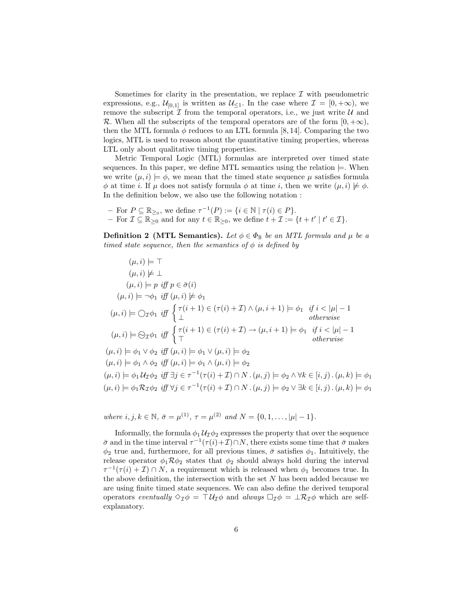Sometimes for clarity in the presentation, we replace  $\mathcal I$  with pseudometric expressions, e.g.,  $\mathcal{U}_{[0,1]}$  is written as  $\mathcal{U}_{\leq 1}$ . In the case where  $\mathcal{I} = [0, +\infty)$ , we remove the subscript  $\mathcal I$  from the temporal operators, i.e., we just write  $\mathcal U$  and R. When all the subscripts of the temporal operators are of the form  $[0, +\infty)$ , then the MTL formula  $\phi$  reduces to an LTL formula [8, 14]. Comparing the two logics, MTL is used to reason about the quantitative timing properties, whereas LTL only about qualitative timing properties.

Metric Temporal Logic (MTL) formulas are interpreted over timed state sequences. In this paper, we define MTL semantics using the relation  $\models$ . When we write  $(\mu, i) \models \phi$ , we mean that the timed state sequence  $\mu$  satisfies formula  $\phi$  at time *i*. If  $\mu$  does not satisfy formula  $\phi$  at time *i*, then we write  $(\mu, i) \not\models \phi$ . In the definition below, we also use the following notation :

- For  $P \subseteq \mathbb{R}_{\geq 0}$ , we define  $\tau^{-1}(P) := \{i \in \mathbb{N} \mid \tau(i) \in P\}.$  $-$  For  $\mathcal{I} \subseteq \mathbb{R}_{\geq 0}$  and for any  $t \in \mathbb{R}_{\geq 0}$ , we define  $t + \mathcal{I} := \{t + t' \mid t' \in \mathcal{I}\}.$ 

**Definition 2 (MTL Semantics).** Let  $\phi \in \Phi_{\mathbb{B}}$  be an MTL formula and  $\mu$  be a timed state sequence, then the semantics of  $\phi$  is defined by

$$
(\mu, i) \models \top
$$
  
\n
$$
(\mu, i) \not\models \bot
$$
  
\n
$$
(\mu, i) \models p \text{ iff } p \in \bar{\sigma}(i)
$$
  
\n
$$
(\mu, i) \models \neg \phi_1 \text{ iff } (\mu, i) \not\models \phi_1
$$
  
\n
$$
(\mu, i) \models \bigcirc_{\mathcal{I}} \phi_1 \text{ iff } \begin{cases} \tau(i+1) \in (\tau(i) + \mathcal{I}) \land (\mu, i+1) \models \phi_1 \text{ if } i < |\mu| - 1 \\ \bot < \text{otherwise} \end{cases}
$$
  
\n
$$
(\mu, i) \models \bigcirc_{\mathcal{I}} \phi_1 \text{ iff } \begin{cases} \tau(i+1) \in (\tau(i) + \mathcal{I}) \rightarrow (\mu, i+1) \models \phi_1 \text{ if } i < |\mu| - 1 \\ \top < \text{otherwise} \end{cases}
$$
  
\n
$$
(\mu, i) \models \phi_1 \lor \phi_2 \text{ iff } (\mu, i) \models \phi_1 \lor (\mu, i) \models \phi_2
$$
  
\n
$$
(\mu, i) \models \phi_1 \land \phi_2 \text{ iff } (\mu, i) \models \phi_1 \land (\mu, i) \models \phi_2
$$
  
\n
$$
(\mu, i) \models \phi_1 \mathcal{U}_{\mathcal{I}} \phi_2 \text{ iff } \exists j \in \tau^{-1}(\tau(i) + \mathcal{I}) \cap N \cdot (\mu, j) \models \phi_2 \land \forall k \in [i, j) \cdot (\mu, k) \models \phi_1
$$
  
\n
$$
(\mu, i) \models \phi_1 \mathcal{R}_{\mathcal{I}} \phi_2 \text{ iff } \forall j \in \tau^{-1}(\tau(i) + \mathcal{I}) \cap N \cdot (\mu, j) \models \phi_2 \lor \exists k \in [i, j) \cdot (\mu, k) \models \phi_1
$$

where  $i, j, k \in \mathbb{N}, \bar{\sigma} = \mu^{(1)}, \tau = \mu^{(2)} \text{ and } N = \{0, 1, \ldots, |\mu| - 1\}.$ 

Informally, the formula  $\phi_1 \mathcal{U}_\mathcal{I} \phi_2$  expresses the property that over the sequence  $\bar{\sigma}$  and in the time interval  $\tau^{-1}(\tau(i)+\mathcal{I})\cap N$ , there exists some time that  $\bar{\sigma}$  makes  $\phi_2$  true and, furthermore, for all previous times,  $\bar{\sigma}$  satisfies  $\phi_1$ . Intuitively, the release operator  $\phi_1 \mathcal{R} \phi_2$  states that  $\phi_2$  should always hold during the interval  $\tau^{-1}(\tau(i) + \mathcal{I}) \cap N$ , a requirement which is released when  $\phi_1$  becomes true. In the above definition, the intersection with the set  $N$  has been added because we are using finite timed state sequences. We can also define the derived temporal operators eventually  $\Diamond \tau \phi = \top \mathcal{U}_{\mathcal{I}} \phi$  and always  $\Box \tau \phi = \bot \mathcal{R}_{\mathcal{I}} \phi$  which are selfexplanatory.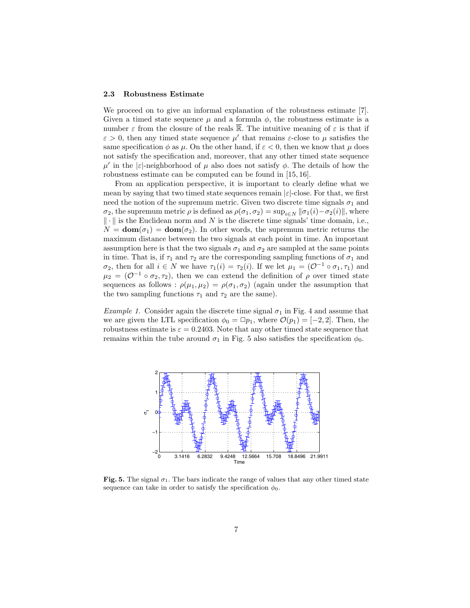#### 2.3 Robustness Estimate

We proceed on to give an informal explanation of the robustness estimate [7]. Given a timed state sequence  $\mu$  and a formula  $\phi$ , the robustness estimate is a number  $\varepsilon$  from the closure of the reals R. The intuitive meaning of  $\varepsilon$  is that if  $\varepsilon > 0$ , then any timed state sequence  $\mu'$  that remains  $\varepsilon$ -close to  $\mu$  satisfies the same specification  $\phi$  as  $\mu$ . On the other hand, if  $\varepsilon < 0$ , then we know that  $\mu$  does not satisfy the specification and, moreover, that any other timed state sequence  $\mu'$  in the |ε|-neighborhood of  $\mu$  also does not satisfy  $\phi$ . The details of how the robustness estimate can be computed can be found in [15, 16].

From an application perspective, it is important to clearly define what we mean by saying that two timed state sequences remain  $|\varepsilon|$ -close. For that, we first need the notion of the supremum metric. Given two discrete time signals  $\sigma_1$  and  $\sigma_2$ , the supremum metric  $\rho$  is defined as  $\rho(\sigma_1, \sigma_2) = \sup_{i \in N} ||\sigma_1(i) - \sigma_2(i)||$ , where  $\|\cdot\|$  is the Euclidean norm and N is the discrete time signals' time domain, i.e.,  $N = \text{dom}(\sigma_1) = \text{dom}(\sigma_2)$ . In other words, the supremum metric returns the maximum distance between the two signals at each point in time. An important assumption here is that the two signals  $\sigma_1$  and  $\sigma_2$  are sampled at the same points in time. That is, if  $\tau_1$  and  $\tau_2$  are the corresponding sampling functions of  $\sigma_1$  and  $\sigma_2$ , then for all  $i \in N$  we have  $\tau_1(i) = \tau_2(i)$ . If we let  $\mu_1 = (\mathcal{O}^{-1} \circ \sigma_1, \tau_1)$  and  $\mu_2 = (\mathcal{O}^{-1} \circ \sigma_2, \tau_2)$ , then we can extend the definition of  $\rho$  over timed state sequences as follows :  $\rho(\mu_1, \mu_2) = \rho(\sigma_1, \sigma_2)$  (again under the assumption that the two sampling functions  $\tau_1$  and  $\tau_2$  are the same).

*Example 1.* Consider again the discrete time signal  $\sigma_1$  in Fig. 4 and assume that we are given the LTL specification  $\phi_0 = \Box p_1$ , where  $\mathcal{O}(p_1) = [-2, 2]$ . Then, the robustness estimate is  $\varepsilon = 0.2403$ . Note that any other timed state sequence that remains within the tube around  $\sigma_1$  in Fig. 5 also satisfies the specification  $\phi_0$ .



Fig. 5. The signal  $\sigma_1$ . The bars indicate the range of values that any other timed state sequence can take in order to satisfy the specification  $\phi_0$ .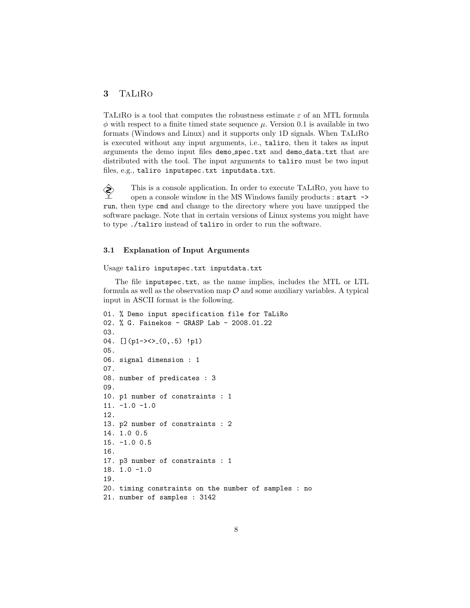## 3 TaLiRo

TALIRO is a tool that computes the robustness estimate  $\varepsilon$  of an MTL formula  $\phi$  with respect to a finite timed state sequence  $\mu$ . Version 0.1 is available in two formats (Windows and Linux) and it supports only 1D signals. When TaLiRo is executed without any input arguments, i.e., taliro, then it takes as input arguments the demo input files demo spec.txt and demo data.txt that are distributed with the tool. The input arguments to taliro must be two input files, e.g., taliro inputspec.txt inputdata.txt.

 $\diamondsuit$  This is a console application. In order to execute TALIRO, you have to open a console window in the MS Windows family products  $\cdot$  start  $\rightarrow$ open a console window in the MS Windows family products : start -> run, then type cmd and change to the directory where you have unzipped the software package. Note that in certain versions of Linux systems you might have to type ./taliro instead of taliro in order to run the software.

### 3.1 Explanation of Input Arguments

Usage taliro inputspec.txt inputdata.txt

The file inputspec.txt, as the name implies, includes the MTL or LTL formula as well as the observation map  $\mathcal O$  and some auxiliary variables. A typical input in ASCII format is the following.

```
01. % Demo input specification file for TaLiRo
02. % G. Fainekos - GRASP Lab - 2008.01.22
03.
04. [j(p1-><> (0,.5) !p1)05.
06. signal dimension : 1
07.
08. number of predicates : 3
09.
10. p1 number of constraints : 1
11. -1.0 -1.0
12.
13. p2 number of constraints : 2
14. 1.0 0.5
15. -1.0 0.5
16.
17. p3 number of constraints : 1
18. 1.0 -1.0
19.
20. timing constraints on the number of samples : no
21. number of samples : 3142
```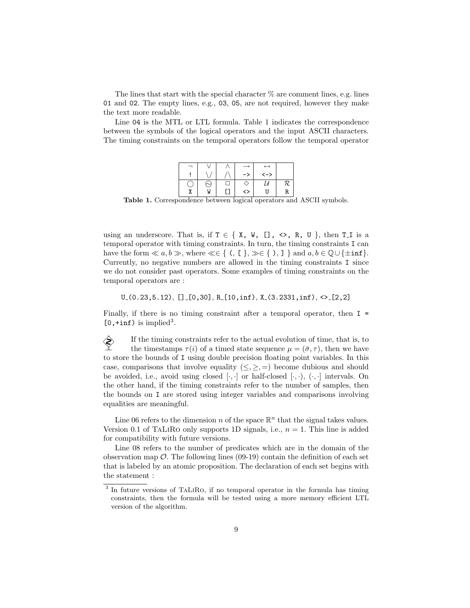The lines that start with the special character  $\%$  are comment lines, e.g. lines 01 and 02. The empty lines, e.g., 03, 05, are not required, however they make the text more readable.

Line 04 is the MTL or LTL formula. Table 1 indicates the correspondence between the symbols of the logical operators and the input ASCII characters. The timing constraints on the temporal operators follow the temporal operator

|  |   |    | $\leftrightarrow$ |     |
|--|---|----|-------------------|-----|
|  |   | -> | <一>               |     |
|  |   |    |                   | 72. |
|  | W | <> |                   | R   |

Table 1. Correspondence between logical operators and ASCII symbols.

using an underscore. That is, if  $T \in \{ X, W, []$ ,  $\langle \rangle$ , R, U, then T<sub>I</sub> is a temporal operator with timing constraints. In turn, the timing constraints I can have the form  $\ll a, b \gg$ , where  $\ll \in \{ (1, \infty) \}$  and  $a, b \in \mathbb{Q} \cup \{\pm \inf \}$ . Currently, no negative numbers are allowed in the timing constraints I since we do not consider past operators. Some examples of timing constraints on the temporal operators are :

 $U_{-}(0.23, 5.12),$   $[]_{-}[0,30],$   $R_{-}[10, inf),$   $X_{-}(3.2331, inf),$   $\langle >_{-}[2,2]$ 

Finally, if there is no timing constraint after a temporal operator, then I =  $[0, +\inf)$  is implied<sup>3</sup>.

If the timing constraints refer to the actual evolution of time, that is, to<br>the timestamps  $\tau(i)$  of a timed state sequence  $\mu = (\bar{\sigma} \tau)$  then we have the timestamps  $\tau(i)$  of a timed state sequence  $\mu = (\bar{\sigma}, \tau)$ , then we have to store the bounds of I using double precision floating point variables. In this case, comparisons that involve equality  $(\leq, \geq, =)$  become dubious and should be avoided, i.e., avoid using closed  $[\cdot, \cdot]$  or half-closed  $[\cdot, \cdot)$ ,  $(\cdot, \cdot]$  intervals. On the other hand, if the timing constraints refer to the number of samples, then the bounds on I are stored using integer variables and comparisons involving equalities are meaningful.

Line 06 refers to the dimension n of the space  $\mathbb{R}^n$  that the signal takes values. Version 0.1 of TaLiRo only supports 1D signals, i.e.,  $n = 1$ . This line is added for compatibility with future versions.

Line 08 refers to the number of predicates which are in the domain of the observation map  $\mathcal{O}$ . The following lines (09-19) contain the definition of each set that is labeled by an atomic proposition. The declaration of each set begins with the statement :

<sup>&</sup>lt;sup>3</sup> In future versions of TALIRO, if no temporal operator in the formula has timing constraints, then the formula will be tested using a more memory efficient LTL version of the algorithm.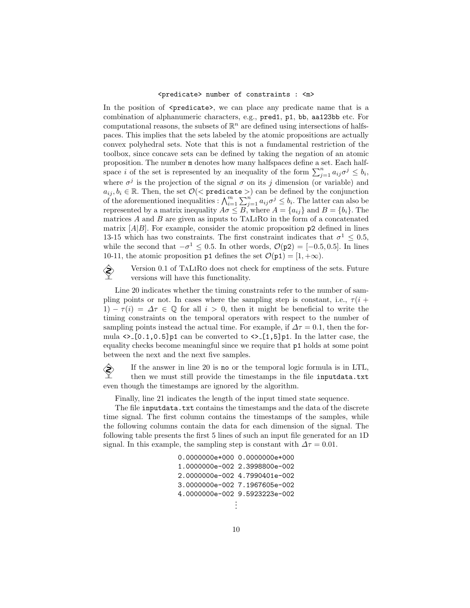#### <predicate> number of constraints : <m>

In the position of  $\epsilon$  predicate  $\epsilon$ , we can place any predicate name that is a combination of alphanumeric characters, e.g., pred1, p1, bb, aa123bb etc. For computational reasons, the subsets of  $\mathbb{R}^n$  are defined using intersections of halfspaces. This implies that the sets labeled by the atomic propositions are actually convex polyhedral sets. Note that this is not a fundamental restriction of the toolbox, since concave sets can be defined by taking the negation of an atomic proposition. The number m denotes how many halfspaces define a set. Each halfspace i of the set is represented by an inequality of the form  $\sum_{j=1}^{n} a_{ij} \sigma^j \leq b_i$ , where  $\sigma^j$  is the projection of the signal  $\sigma$  on its j dimension (or variable) and  $a_{ij}, b_i \in \mathbb{R}$ . Then, the set  $\mathcal{O}(\leq \texttt{predicate} >)$  can be defined by the conjunction of the aforementioned inequalities :  $\bigwedge_{i=1}^{m} \sum_{j=1}^{n} a_{ij} \sigma^j \leq b_i$ . The latter can also be represented by a matrix inequality  $A\sigma \leq B$ , where  $A = \{a_{ij}\}\$ and  $B = \{b_i\}$ . The matrices  $A$  and  $B$  are given as inputs to TALIRO in the form of a concatenated matrix  $[A|B]$ . For example, consider the atomic proposition  $p2$  defined in lines 13-15 which has two constraints. The first constraint indicates that  $\sigma^1 \leq 0.5$ , while the second that  $-\sigma^1 \leq 0.5$ . In other words,  $\mathcal{O}(p2) = [-0.5, 0.5]$ . In lines 10-11, the atomic proposition p1 defines the set  $\mathcal{O}(p1) = [1, +\infty)$ .

Version 0.1 of TaLiRo does not check for emptiness of the sets. Future<br>versions will have this functionality versions will have this functionality.

Line 20 indicates whether the timing constraints refer to the number of sampling points or not. In cases where the sampling step is constant, i.e.,  $\tau(i +$ 1)  $-\tau(i) = \Delta \tau \in \mathbb{Q}$  for all  $i > 0$ , then it might be beneficial to write the timing constraints on the temporal operators with respect to the number of sampling points instead the actual time. For example, if  $\Delta \tau = 0.1$ , then the formula  $\langle \rangle$  [0.1,0.5] p1 can be converted to  $\langle \rangle$  [1,5] p1. In the latter case, the equality checks become meaningful since we require that p1 holds at some point between the next and the next five samples.

If the answer in line 20 is no or the temporal logic formula is in LTL,<br>then we must still provide the timestamps in the file inputdata txt. then we must still provide the timestamps in the file inputdata.txt even though the timestamps are ignored by the algorithm.

Finally, line 21 indicates the length of the input timed state sequence.

The file inputdata.txt contains the timestamps and the data of the discrete time signal. The first column contains the timestamps of the samples, while the following columns contain the data for each dimension of the signal. The following table presents the first 5 lines of such an input file generated for an 1D signal. In this example, the sampling step is constant with  $\Delta \tau = 0.01$ .

> 0.0000000e+000 0.0000000e+000 1.0000000e-002 2.3998800e-002 2.0000000e-002 4.7990401e-002 3.0000000e-002 7.1967605e-002 4.0000000e-002 9.5923223e-002 . .

.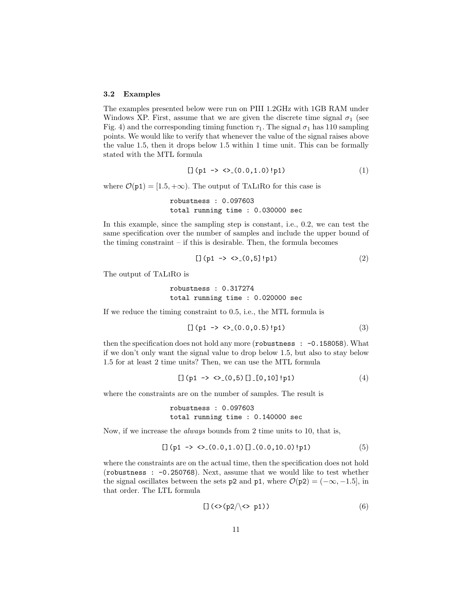#### 3.2 Examples

The examples presented below were run on PIII 1.2GHz with 1GB RAM under Windows XP. First, assume that we are given the discrete time signal  $\sigma_1$  (see Fig. 4) and the corresponding timing function  $\tau_1$ . The signal  $\sigma_1$  has 110 sampling points. We would like to verify that whenever the value of the signal raises above the value 1.5, then it drops below 1.5 within 1 time unit. This can be formally stated with the MTL formula

$$
[ ] (p1 \rightarrow \langle > (0.0, 1.0) ! p1 ) \tag{1}
$$

where  $\mathcal{O}(p1) = [1.5, +\infty)$ . The output of TALIRO for this case is

```
robustness : 0.097603
total running time : 0.030000 sec
```
In this example, since the sampling step is constant, i.e., 0.2, we can test the same specification over the number of samples and include the upper bound of the timing constraint  $-$  if this is desirable. Then, the formula becomes

$$
[ ] (p1 \to \langle \rangle_{-}(0,5]! p1) \tag{2}
$$

The output of TaLiRo is

robustness : 0.317274 total running time : 0.020000 sec

If we reduce the timing constraint to 0.5, i.e., the MTL formula is

$$
[](p1 \to \langle \rangle_{-}(0.0, 0.5) ! p1) \tag{3}
$$

then the specification does not hold any more (robustness :  $-0.158058$ ). What if we don't only want the signal value to drop below 1.5, but also to stay below 1.5 for at least 2 time units? Then, we can use the MTL formula

$$
[ ] (p1 \rightarrow \langle >_{-}(0,5) [ ] - [0,10] ! p1 ) \tag{4}
$$

where the constraints are on the number of samples. The result is

```
robustness : 0.097603
total running time : 0.140000 sec
```
Now, if we increase the always bounds from 2 time units to 10, that is,

$$
\left[\right] (p1 \rightarrow \langle >_{-}(0.0, 1.0) []_{-}(0.0, 10.0) ! p1)
$$
 (5)

where the constraints are on the actual time, then the specification does not hold (robustness : -0.250768). Next, assume that we would like to test whether the signal oscillates between the sets p2 and p1, where  $\mathcal{O}(p2) = (-\infty, -1.5]$ , in that order. The LTL formula

$$
\left[\frac{1}{\sqrt{2}}\right] \cdot \left(\frac{p2}{\sqrt{2}}\right) \tag{6}
$$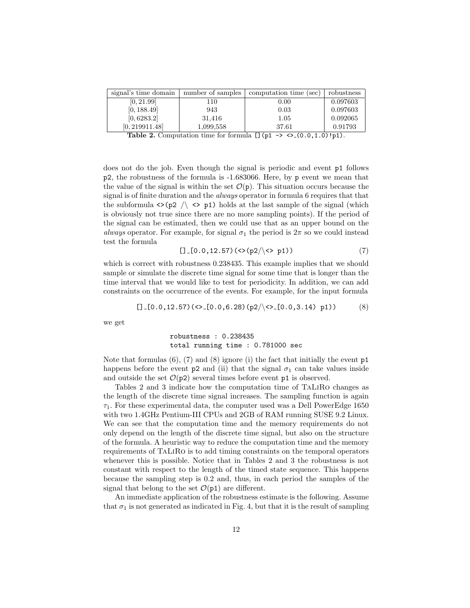| signal's time domain | number of samples | computation time (sec)                                          | robustness |
|----------------------|-------------------|-----------------------------------------------------------------|------------|
| [0, 21.99]           | 110               | 0.00                                                            | 0.097603   |
| [0, 188.49]          | 943               | 0.03                                                            | 0.097603   |
| [0, 6283.2]          | 31,416            | 1.05                                                            | 0.092065   |
| [0, 219911.48]       | 1,099,558         | 37.61                                                           | 0.91793    |
|                      | $\blacksquare$    | $F^{\prime}$ $\prime$ $\rightarrow$<br>$\sim$ $\sim$ $(0.0101)$ |            |

**Table 2.** Computation time for formula  $\left[\right]$  (p1 -> <> (0.0,1.0)!p1).

does not do the job. Even though the signal is periodic and event p1 follows p2, the robustness of the formula is -1.683066. Here, by p event we mean that the value of the signal is within the set  $\mathcal{O}(p)$ . This situation occurs because the signal is of finite duration and the always operator in formula 6 requires that that the subformula  $\langle \rangle$  (p2  $\langle \rangle$   $\langle \rangle$  p1) holds at the last sample of the signal (which is obviously not true since there are no more sampling points). If the period of the signal can be estimated, then we could use that as an upper bound on the always operator. For example, for signal  $\sigma_1$  the period is  $2\pi$  so we could instead test the formula

$$
[ ]-[0.0, 12.57) (<>(p2/\langle >p1\rangle) \tag{7}
$$

which is correct with robustness 0.238435. This example implies that we should sample or simulate the discrete time signal for some time that is longer than the time interval that we would like to test for periodicity. In addition, we can add constraints on the occurrence of the events. For example, for the input formula

$$
\text{[] } [0.0, 12.57) (\langle >, [0.0, 6.28) (p2/\langle >, [0.0, 3.14) p1 \rangle) \tag{8}
$$

we get

robustness : 0.238435 total running time : 0.781000 sec

Note that formulas  $(6)$ ,  $(7)$  and  $(8)$  ignore (i) the fact that initially the event p1 happens before the event p2 and (ii) that the signal  $\sigma_1$  can take values inside and outside the set  $\mathcal{O}(p2)$  several times before event p1 is observed.

Tables 2 and 3 indicate how the computation time of TaLiRo changes as the length of the discrete time signal increases. The sampling function is again  $\tau_1$ . For these experimental data, the computer used was a Dell PowerEdge 1650 with two 1.4GHz Pentium-III CPUs and 2GB of RAM running SUSE 9.2 Linux. We can see that the computation time and the memory requirements do not only depend on the length of the discrete time signal, but also on the structure of the formula. A heuristic way to reduce the computation time and the memory requirements of TaLiRo is to add timing constraints on the temporal operators whenever this is possible. Notice that in Tables 2 and 3 the robustness is not constant with respect to the length of the timed state sequence. This happens because the sampling step is 0.2 and, thus, in each period the samples of the signal that belong to the set  $\mathcal{O}(p1)$  are different.

An immediate application of the robustness estimate is the following. Assume that  $\sigma_1$  is not generated as indicated in Fig. 4, but that it is the result of sampling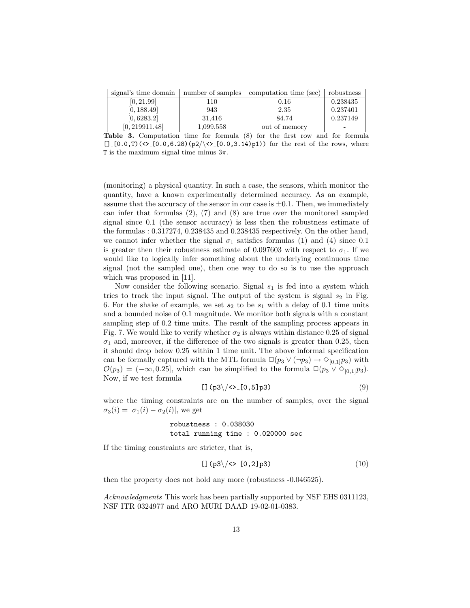| signal's time domain | number of samples | computation time (sec) | robustness |
|----------------------|-------------------|------------------------|------------|
| [0, 21.99]           | 110               | 0.16                   | 0.238435   |
| [0, 188.49]          | 943               | 2.35                   | 0.237401   |
| [0, 6283.2]          | 31.416            | 84.74                  | 0.237149   |
| [0, 219911.48]       | 1,099,558         | out of memory          |            |

Table 3. Computation time for formula (8) for the first row and for formula  $[] -[0.0, T)$  (<> [0.0,6.28)(p2/\ < > [0.0,3.14)p1) for the rest of the rows, where T is the maximum signal time minus  $3\pi$ .

(monitoring) a physical quantity. In such a case, the sensors, which monitor the quantity, have a known experimentally determined accuracy. As an example, assume that the accuracy of the sensor in our case is  $\pm 0.1$ . Then, we immediately can infer that formulas (2), (7) and (8) are true over the monitored sampled signal since 0.1 (the sensor accuracy) is less then the robustness estimate of the formulas : 0.317274, 0.238435 and 0.238435 respectively. On the other hand, we cannot infer whether the signal  $\sigma_1$  satisfies formulas (1) and (4) since 0.1 is greater then their robustness estimate of 0.097603 with respect to  $\sigma_1$ . If we would like to logically infer something about the underlying continuous time signal (not the sampled one), then one way to do so is to use the approach which was proposed in [11].

Now consider the following scenario. Signal  $s_1$  is fed into a system which tries to track the input signal. The output of the system is signal  $s_2$  in Fig. 6. For the shake of example, we set  $s_2$  to be  $s_1$  with a delay of 0.1 time units and a bounded noise of 0.1 magnitude. We monitor both signals with a constant sampling step of 0.2 time units. The result of the sampling process appears in Fig. 7. We would like to verify whether  $\sigma_2$  is always within distance 0.25 of signal  $\sigma_1$  and, moreover, if the difference of the two signals is greater than 0.25, then it should drop below 0.25 within 1 time unit. The above informal specification can be formally captured with the MTL formula  $\Box(p_3 \lor (\neg p_3) \rightarrow \Diamond_{[0,1]} p_3)$  with  $\mathcal{O}(p_3) = (-\infty, 0.25]$ , which can be simplified to the formula  $\Box(p_3 \vee \Diamond_{[0,1]} p_3)$ . Now, if we test formula

$$
\text{[} \quad \text{[p3]} \quad \text{[0,5]} \quad \text{[0,6]} \quad \text{[0,6]} \quad \text{[0,6]} \quad \text{[0,6]} \quad \text{[0,6]} \quad \text{[0,6]} \quad \text{[0,6]} \quad \text{[0,6]} \quad \text{[0,6]} \quad \text{[0,6]} \quad \text{[0,6]} \quad \text{[0,6]} \quad \text{[0,6]} \quad \text{[0,6]} \quad \text{[0,6]} \quad \text{[0,6]} \quad \text{[0,6]} \quad \text{[0,6]} \quad \text{[0,6]} \quad \text{[0,6]} \quad \text{[0,6]} \quad \text{[0,6]} \quad \text{[0,6]} \quad \text{[0,6]} \quad \text{[0,6]} \quad \text{[0,6]} \quad \text{[0,6]} \quad \text{[0,6]} \quad \text{[0,6]} \quad \text{[0,6]} \quad \text{[0,6]} \quad \text{[0,6]} \quad \text{[0,6]} \quad \text{[0,6]} \quad \text{[0,6]} \quad \text{[0,6]} \quad \text{[0,6]} \quad \text{[0,6]} \quad \text{[0,6]} \quad \text{[0,6]} \quad \text{[0,6]} \quad \text{[0,6]} \quad \text{[0,6]} \quad \text{[0,6]} \quad \text{[0,6]} \quad \text{[0,6]} \quad \text{[0,6]} \quad \text{[0,6]} \quad \text{[0,6]} \quad \text{[0,6]} \quad \text{[0,6]} \quad \text{[0,6]} \quad \text{[0,6]} \quad \text{[0,6]} \quad \text{[0,6]} \quad \text{[0,6]} \quad \text{[0,6]} \quad \text{[0,6]} \quad \text{[0,6]} \quad \text{[0,6]} \quad \text{[0,6]} \quad \text{[0,6]} \quad \text{[0,6]} \quad \text{[0,6]} \quad \text{[0,6]} \quad \text{[0,6]} \quad \text{[0,6]} \quad \text{[0,6]} \quad \text{[0,6]} \quad \text{[0,6]} \quad \text{[0,6]} \quad \text{[0,6]} \quad \text{[0,6]} \quad \text{[
$$

where the timing constraints are on the number of samples, over the signal  $\sigma_3(i) = |\sigma_1(i) - \sigma_2(i)|$ , we get

### robustness : 0.038030 total running time : 0.020000 sec

If the timing constraints are stricter, that is,

$$
\text{[} \text{I} \text{ (p3} \text{)} \text{/} \text{&} \text{I} \text{0,2} \text{]} \text{p3} \text{)} \tag{10}
$$

then the property does not hold any more (robustness -0.046525).

Acknowledgments This work has been partially supported by NSF EHS 0311123, NSF ITR 0324977 and ARO MURI DAAD 19-02-01-0383.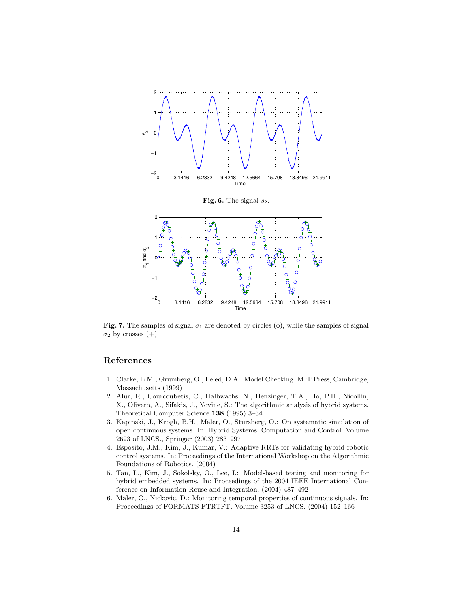

Fig. 7. The samples of signal  $\sigma_1$  are denoted by circles (o), while the samples of signal  $\sigma_2$  by crosses (+).

# References

- 1. Clarke, E.M., Grumberg, O., Peled, D.A.: Model Checking. MIT Press, Cambridge, Massachusetts (1999)
- 2. Alur, R., Courcoubetis, C., Halbwachs, N., Henzinger, T.A., Ho, P.H., Nicollin, X., Olivero, A., Sifakis, J., Yovine, S.: The algorithmic analysis of hybrid systems. Theoretical Computer Science 138 (1995) 3–34
- 3. Kapinski, J., Krogh, B.H., Maler, O., Stursberg, O.: On systematic simulation of open continuous systems. In: Hybrid Systems: Computation and Control. Volume 2623 of LNCS., Springer (2003) 283–297
- 4. Esposito, J.M., Kim, J., Kumar, V.: Adaptive RRTs for validating hybrid robotic control systems. In: Proceedings of the International Workshop on the Algorithmic Foundations of Robotics. (2004)
- 5. Tan, L., Kim, J., Sokolsky, O., Lee, I.: Model-based testing and monitoring for hybrid embedded systems. In: Proceedings of the 2004 IEEE International Conference on Information Reuse and Integration. (2004) 487–492
- 6. Maler, O., Nickovic, D.: Monitoring temporal properties of continuous signals. In: Proceedings of FORMATS-FTRTFT. Volume 3253 of LNCS. (2004) 152–166